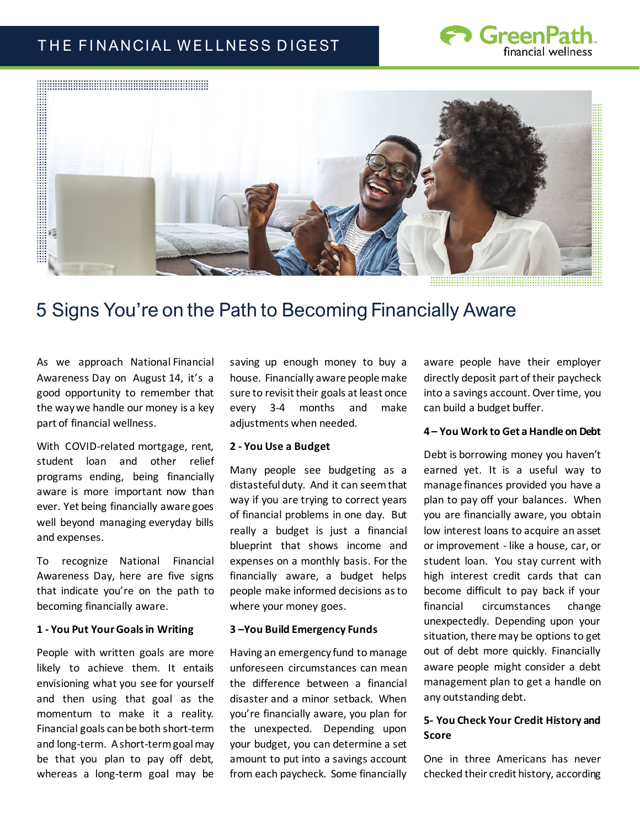# THE FINANCIAL WELLNESS DIGEST





# 5 Signs You're on the Path to Becoming Financially Aware

As we approach National Financial Awareness Day on August 14, it's a good opportunity to remember that the way we handle our money is a key part of financial wellness.

With COVID-related mortgage, rent, student loan and other relief programs ending, being financially aware is more important now than ever. Yet being financially aware goes well beyond managing everyday bills and expenses.

To recognize National Financial Awareness Day, here are five signs that indicate you're on the path to becoming financially aware.

#### **1 - You Put Your Goals in Writing**

People with written goals are more likely to achieve them. It entails envisioning what you see for yourself and then using that goal as the momentum to make it a reality. Financial goals can be both short-term and long-term.  A short-term goal may be that you plan to pay off debt, whereas a long-term goal may be

saving up enough money to buy a house. Financially aware people make sure to revisit their goals at least once every 3-4 months and make adjustments when needed.

#### **2 - You Use a Budget**

Many people see budgeting as a distasteful duty.  And it can seem that way if you are trying to correct years of financial problems in one day.  But really a budget is just a financial blueprint that shows income and expenses on a monthly basis. For the financially aware, a budget helps people make informed decisions as to where your money goes. 

#### **3 –You Build Emergency Funds**

Having an emergency fund to manage unforeseen circumstances can mean the difference between a financial disaster and a minor setback.  When you're financially aware, you plan for the unexpected.  Depending upon your budget, you can determine a set amount to put into a savings account from each paycheck. Some financially

aware people have their employer directly deposit part of their paycheck into a savings account. Over time, you can build a budget buffer.

## **4 – You Work to Get a Handle on Debt**

Debt is borrowing money you haven't earned yet. It is a useful way to manage finances provided you have a plan to pay off your balances. When you are financially aware, you obtain low interest loans to acquire an asset or improvement - like a house, car, or student loan.  You stay current with high interest credit cards that can become difficult to pay back if your financial circumstances change unexpectedly. Depending upon your situation, there may be options to get out of debt more quickly. Financially aware people might consider a debt management plan to get a handle on any outstanding debt.

## **5- You Check Your Credit History and Score**

One in three Americans has never checked their credit history, according